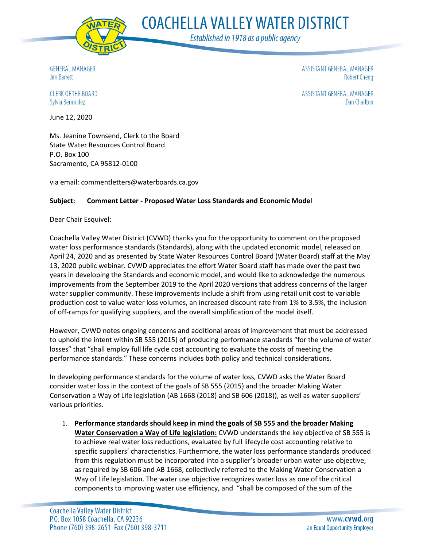

**COACHELLA VALLEY WATER DISTRICT** 

Established in 1918 as a public agency

**GENERAL MANAGER Jim Barrett** 

ASSISTANT GENERAL MANAGER **Robert Cheng** 

ASSISTANT GENERAL MANAGER

**Dan Charlton** 

**CLERK OF THE BOARD** Sylvia Bermudez

June 12, 2020

Ms. Jeanine Townsend, Clerk to the Board State Water Resources Control Board P.O. Box 100 Sacramento, CA 95812-0100

via email: commentletters@waterboards.ca.gov

## **Subject: Comment Letter - Proposed Water Loss Standards and Economic Model**

Dear Chair Esquivel:

Coachella Valley Water District (CVWD) thanks you for the opportunity to comment on the proposed water loss performance standards (Standards), along with the updated economic model, released on April 24, 2020 and as presented by State Water Resources Control Board (Water Board) staff at the May 13, 2020 public webinar. CVWD appreciates the effort Water Board staff has made over the past two years in developing the Standards and economic model, and would like to acknowledge the numerous improvements from the September 2019 to the April 2020 versions that address concerns of the larger water supplier community. These improvements include a shift from using retail unit cost to variable production cost to value water loss volumes, an increased discount rate from 1% to 3.5%, the inclusion of off-ramps for qualifying suppliers, and the overall simplification of the model itself.

However, CVWD notes ongoing concerns and additional areas of improvement that must be addressed to uphold the intent within SB 555 (2015) of producing performance standards "for the volume of water losses" that "shall employ full life cycle cost accounting to evaluate the costs of meeting the performance standards." These concerns includes both policy and technical considerations.

In developing performance standards for the volume of water loss, CVWD asks the Water Board consider water loss in the context of the goals of SB 555 (2015) and the broader Making Water Conservation a Way of Life legislation (AB 1668 (2018) and SB 606 (2018)), as well as water suppliers' various priorities.

1. **Performance standards should keep in mind the goals of SB 555 and the broader Making Water Conservation a Way of Life legislation:** CVWD understands the key objective of SB 555 is to achieve real water loss reductions, evaluated by full lifecycle cost accounting relative to specific suppliers' characteristics. Furthermore, the water loss performance standards produced from this regulation must be incorporated into a supplier's broader urban water use objective, as required by SB 606 and AB 1668, collectively referred to the Making Water Conservation a Way of Life legislation. The water use objective recognizes water loss as one of the critical components to improving water use efficiency, and "shall be composed of the sum of the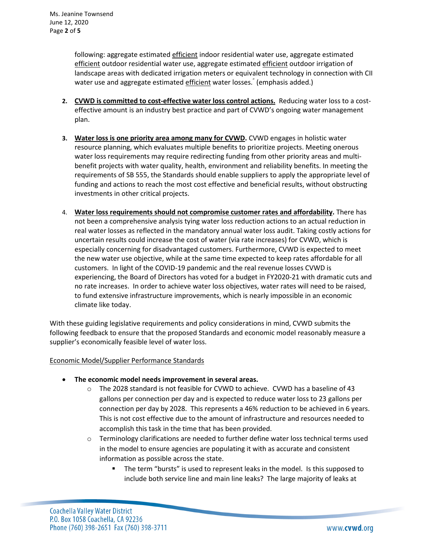following: aggregate estimated efficient indoor residential water use, aggregate estimated efficient outdoor residential water use, aggregate estimated efficient outdoor irrigation of landscape areas with dedicated irrigation meters or equivalent technology in connection with CII water use and aggregate estimated efficient water losses." (emphasis added.)

- **2. CVWD is committed to cost-effective water loss control actions.** Reducing water loss to a costeffective amount is an industry best practice and part of CVWD's ongoing water management plan.
- **3. Water loss is one priority area among many for CVWD.** CVWD engages in holistic water resource planning, which evaluates multiple benefits to prioritize projects. Meeting onerous water loss requirements may require redirecting funding from other priority areas and multibenefit projects with water quality, health, environment and reliability benefits. In meeting the requirements of SB 555, the Standards should enable suppliers to apply the appropriate level of funding and actions to reach the most cost effective and beneficial results, without obstructing investments in other critical projects.
- 4. **Water loss requirements should not compromise customer rates and affordability.** There has not been a comprehensive analysis tying water loss reduction actions to an actual reduction in real water losses as reflected in the mandatory annual water loss audit. Taking costly actions for uncertain results could increase the cost of water (via rate increases) for CVWD, which is especially concerning for disadvantaged customers. Furthermore, CVWD is expected to meet the new water use objective, while at the same time expected to keep rates affordable for all customers. In light of the COVID-19 pandemic and the real revenue losses CVWD is experiencing, the Board of Directors has voted for a budget in FY2020-21 with dramatic cuts and no rate increases. In order to achieve water loss objectives, water rates will need to be raised, to fund extensive infrastructure improvements, which is nearly impossible in an economic climate like today.

With these guiding legislative requirements and policy considerations in mind, CVWD submits the following feedback to ensure that the proposed Standards and economic model reasonably measure a supplier's economically feasible level of water loss.

Economic Model/Supplier Performance Standards

- **The economic model needs improvement in several areas.**
	- $\circ$  The 2028 standard is not feasible for CVWD to achieve. CVWD has a baseline of 43 gallons per connection per day and is expected to reduce water loss to 23 gallons per connection per day by 2028. This represents a 46% reduction to be achieved in 6 years. This is not cost effective due to the amount of infrastructure and resources needed to accomplish this task in the time that has been provided.
	- $\circ$  Terminology clarifications are needed to further define water loss technical terms used in the model to ensure agencies are populating it with as accurate and consistent information as possible across the state.
		- The term "bursts" is used to represent leaks in the model. Is this supposed to include both service line and main line leaks? The large majority of leaks at

**Coachella Valley Water District** P.O. Box 1058 Coachella, CA 92236 Phone (760) 398-2651 Fax (760) 398-3711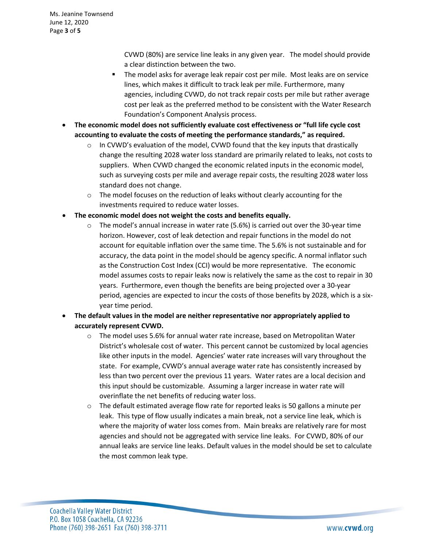CVWD (80%) are service line leaks in any given year. The model should provide a clear distinction between the two.

- The model asks for average leak repair cost per mile. Most leaks are on service lines, which makes it difficult to track leak per mile. Furthermore, many agencies, including CVWD, do not track repair costs per mile but rather average cost per leak as the preferred method to be consistent with the Water Research Foundation's Component Analysis process.
- **The economic model does not sufficiently evaluate cost effectiveness or "full life cycle cost accounting to evaluate the costs of meeting the performance standards," as required.**
	- $\circ$  In CVWD's evaluation of the model, CVWD found that the key inputs that drastically change the resulting 2028 water loss standard are primarily related to leaks, not costs to suppliers. When CVWD changed the economic related inputs in the economic model, such as surveying costs per mile and average repair costs, the resulting 2028 water loss standard does not change.
	- $\circ$  The model focuses on the reduction of leaks without clearly accounting for the investments required to reduce water losses.
- **The economic model does not weight the costs and benefits equally.** 
	- $\circ$  The model's annual increase in water rate (5.6%) is carried out over the 30-year time horizon. However, cost of leak detection and repair functions in the model do not account for equitable inflation over the same time. The 5.6% is not sustainable and for accuracy, the data point in the model should be agency specific. A normal inflator such as the Construction Cost Index (CCI) would be more representative. The economic model assumes costs to repair leaks now is relatively the same as the cost to repair in 30 years. Furthermore, even though the benefits are being projected over a 30-year period, agencies are expected to incur the costs of those benefits by 2028, which is a sixyear time period.
- **The default values in the model are neither representative nor appropriately applied to accurately represent CVWD.** 
	- $\circ$  The model uses 5.6% for annual water rate increase, based on Metropolitan Water District's wholesale cost of water. This percent cannot be customized by local agencies like other inputs in the model. Agencies' water rate increases will vary throughout the state. For example, CVWD's annual average water rate has consistently increased by less than two percent over the previous 11 years. Water rates are a local decision and this input should be customizable. Assuming a larger increase in water rate will overinflate the net benefits of reducing water loss.
	- $\circ$  The default estimated average flow rate for reported leaks is 50 gallons a minute per leak. This type of flow usually indicates a main break, not a service line leak, which is where the majority of water loss comes from. Main breaks are relatively rare for most agencies and should not be aggregated with service line leaks. For CVWD, 80% of our annual leaks are service line leaks. Default values in the model should be set to calculate the most common leak type.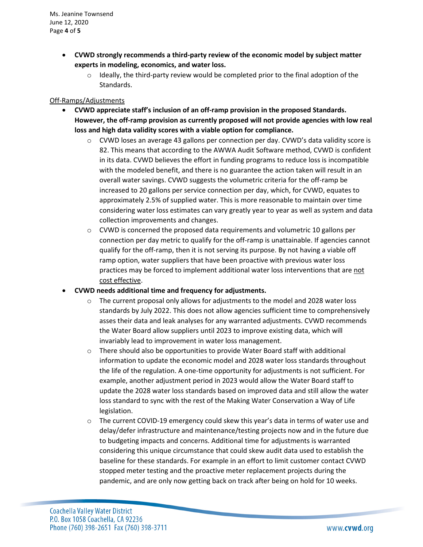Ms. Jeanine Townsend June 12, 2020 Page **4** of **5**

- **CVWD strongly recommends a third-party review of the economic model by subject matter experts in modeling, economics, and water loss.** 
	- $\circ$  Ideally, the third-party review would be completed prior to the final adoption of the Standards.

## Off-Ramps/Adjustments

- **CVWD appreciate staff's inclusion of an off-ramp provision in the proposed Standards. However, the off-ramp provision as currently proposed will not provide agencies with low real loss and high data validity scores with a viable option for compliance.**
	- $\circ$  CVWD loses an average 43 gallons per connection per day. CVWD's data validity score is 82. This means that according to the AWWA Audit Software method, CVWD is confident in its data. CVWD believes the effort in funding programs to reduce loss is incompatible with the modeled benefit, and there is no guarantee the action taken will result in an overall water savings. CVWD suggests the volumetric criteria for the off-ramp be increased to 20 gallons per service connection per day, which, for CVWD, equates to approximately 2.5% of supplied water. This is more reasonable to maintain over time considering water loss estimates can vary greatly year to year as well as system and data collection improvements and changes.
	- $\circ$  CVWD is concerned the proposed data requirements and volumetric 10 gallons per connection per day metric to qualify for the off-ramp is unattainable. If agencies cannot qualify for the off-ramp, then it is not serving its purpose. By not having a viable off ramp option, water suppliers that have been proactive with previous water loss practices may be forced to implement additional water loss interventions that are not cost effective.
- **CVWD needs additional time and frequency for adjustments.**
	- $\circ$  The current proposal only allows for adjustments to the model and 2028 water loss standards by July 2022. This does not allow agencies sufficient time to comprehensively asses their data and leak analyses for any warranted adjustments. CVWD recommends the Water Board allow suppliers until 2023 to improve existing data, which will invariably lead to improvement in water loss management.
	- $\circ$  There should also be opportunities to provide Water Board staff with additional information to update the economic model and 2028 water loss standards throughout the life of the regulation. A one-time opportunity for adjustments is not sufficient. For example, another adjustment period in 2023 would allow the Water Board staff to update the 2028 water loss standards based on improved data and still allow the water loss standard to sync with the rest of the Making Water Conservation a Way of Life legislation.
	- $\circ$  The current COVID-19 emergency could skew this year's data in terms of water use and delay/defer infrastructure and maintenance/testing projects now and in the future due to budgeting impacts and concerns. Additional time for adjustments is warranted considering this unique circumstance that could skew audit data used to establish the baseline for these standards. For example in an effort to limit customer contact CVWD stopped meter testing and the proactive meter replacement projects during the pandemic, and are only now getting back on track after being on hold for 10 weeks.